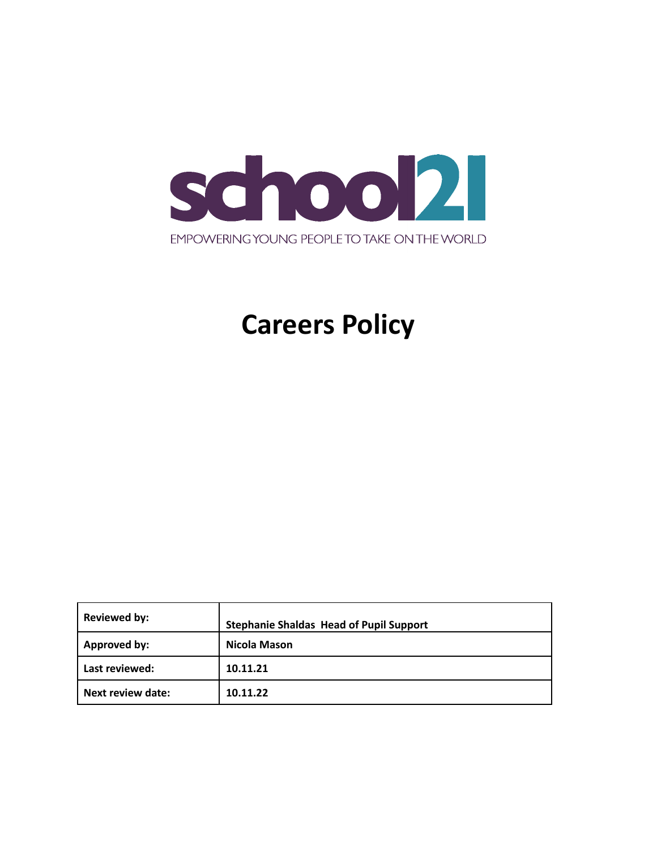

# **Careers Policy**

| <b>Reviewed by:</b> | <b>Stephanie Shaldas Head of Pupil Support</b> |  |
|---------------------|------------------------------------------------|--|
| Approved by:        | Nicola Mason                                   |  |
| Last reviewed:      | 10.11.21                                       |  |
| Next review date:   | 10.11.22                                       |  |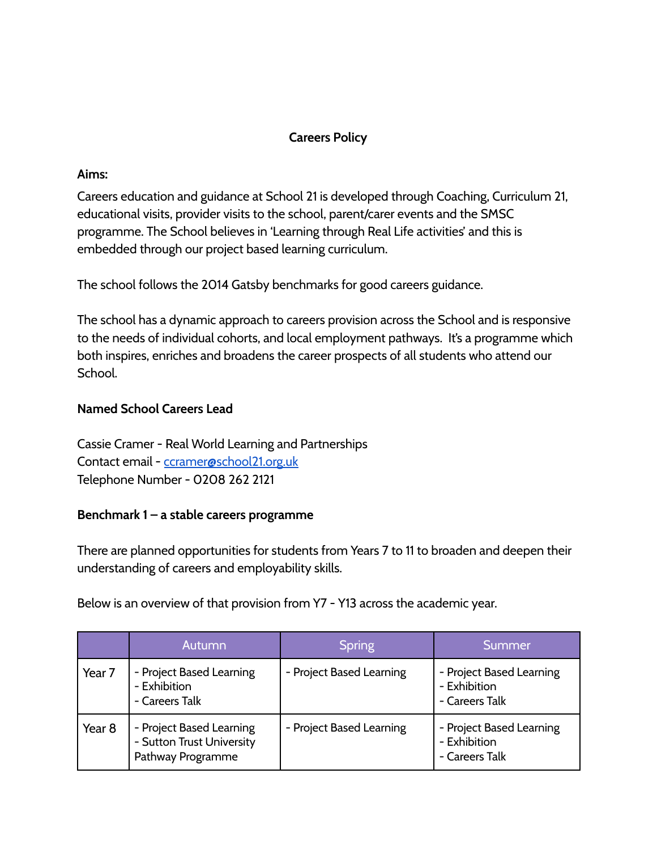## **Careers Policy**

#### **Aims:**

Careers education and guidance at School 21 is developed through Coaching, Curriculum 21, educational visits, provider visits to the school, parent/carer events and the SMSC programme. The School believes in 'Learning through Real Life activities' and this is embedded through our project based learning curriculum.

The school follows the 2014 Gatsby benchmarks for good careers guidance.

The school has a dynamic approach to careers provision across the School and is responsive to the needs of individual cohorts, and local employment pathways. It's a programme which both inspires, enriches and broadens the career prospects of all students who attend our School.

#### **Named School Careers Lead**

Cassie Cramer - Real World Learning and Partnerships Contact email - [ccramer@school21.org.uk](mailto:ccramer@school21.org.uk) Telephone Number - 0208 262 2121

#### **Benchmark 1 – a stable careers programme**

There are planned opportunities for students from Years 7 to 11 to broaden and deepen their understanding of careers and employability skills.

Below is an overview of that provision from Y7 - Y13 across the academic year.

|        | Autumn                                                                     | <b>Spring</b>            | Summer                                                     |
|--------|----------------------------------------------------------------------------|--------------------------|------------------------------------------------------------|
| Year 7 | - Project Based Learning<br>- Exhibition<br>- Careers Talk                 | - Project Based Learning | - Project Based Learning<br>- Exhibition<br>- Careers Talk |
| Year 8 | - Project Based Learning<br>- Sutton Trust University<br>Pathway Programme | - Project Based Learning | - Project Based Learning<br>- Exhibition<br>- Careers Talk |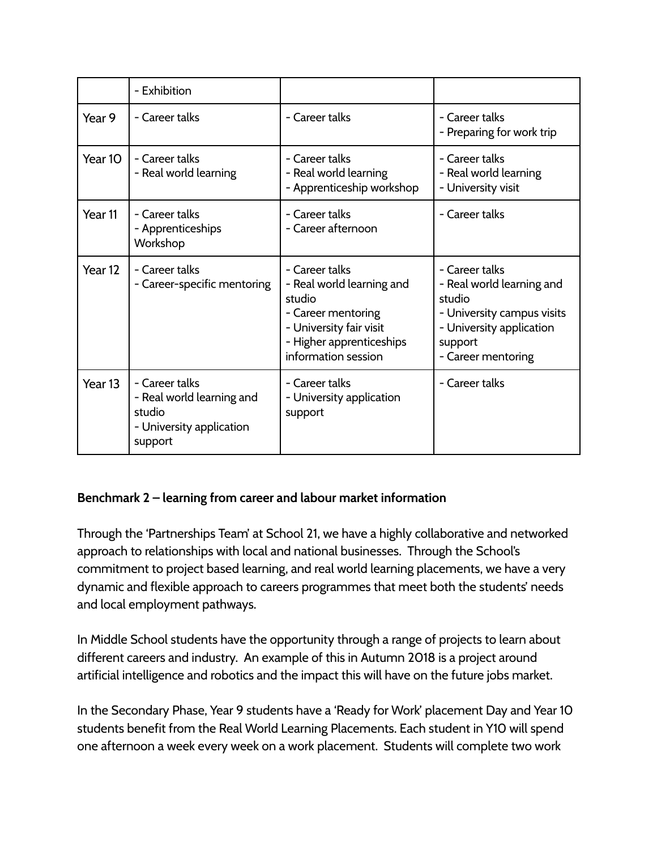|                    | - Exhibition                                                                                 |                                                                                                                                                           |                                                                                                                                                  |
|--------------------|----------------------------------------------------------------------------------------------|-----------------------------------------------------------------------------------------------------------------------------------------------------------|--------------------------------------------------------------------------------------------------------------------------------------------------|
| Year 9             | - Career talks                                                                               | - Career talks                                                                                                                                            | - Career talks<br>- Preparing for work trip                                                                                                      |
| Year 10            | - Career talks<br>- Real world learning                                                      | - Career talks<br>- Real world learning<br>- Apprenticeship workshop                                                                                      | - Career talks<br>- Real world learning<br>- University visit                                                                                    |
| Year 11            | - Career talks<br>- Apprenticeships<br>Workshop                                              | - Career talks<br>- Career afternoon                                                                                                                      | - Career talks                                                                                                                                   |
| Year <sub>12</sub> | - Career talks<br>- Career-specific mentoring                                                | - Career talks<br>- Real world learning and<br>studio<br>- Career mentoring<br>- University fair visit<br>- Higher apprenticeships<br>information session | - Career talks<br>- Real world learning and<br>studio<br>- University campus visits<br>- University application<br>support<br>- Career mentoring |
| Year <sub>13</sub> | - Career talks<br>- Real world learning and<br>studio<br>- University application<br>support | - Career talks<br>- University application<br>support                                                                                                     | - Career talks                                                                                                                                   |

# **Benchmark 2 – learning from career and labour market information**

Through the 'Partnerships Team' at School 21, we have a highly collaborative and networked approach to relationships with local and national businesses. Through the School's commitment to project based learning, and real world learning placements, we have a very dynamic and flexible approach to careers programmes that meet both the students' needs and local employment pathways.

In Middle School students have the opportunity through a range of projects to learn about different careers and industry. An example of this in Autumn 2018 is a project around artificial intelligence and robotics and the impact this will have on the future jobs market.

In the Secondary Phase, Year 9 students have a 'Ready for Work' placement Day and Year 10 students benefit from the Real World Learning Placements. Each student in Y10 will spend one afternoon a week every week on a work placement. Students will complete two work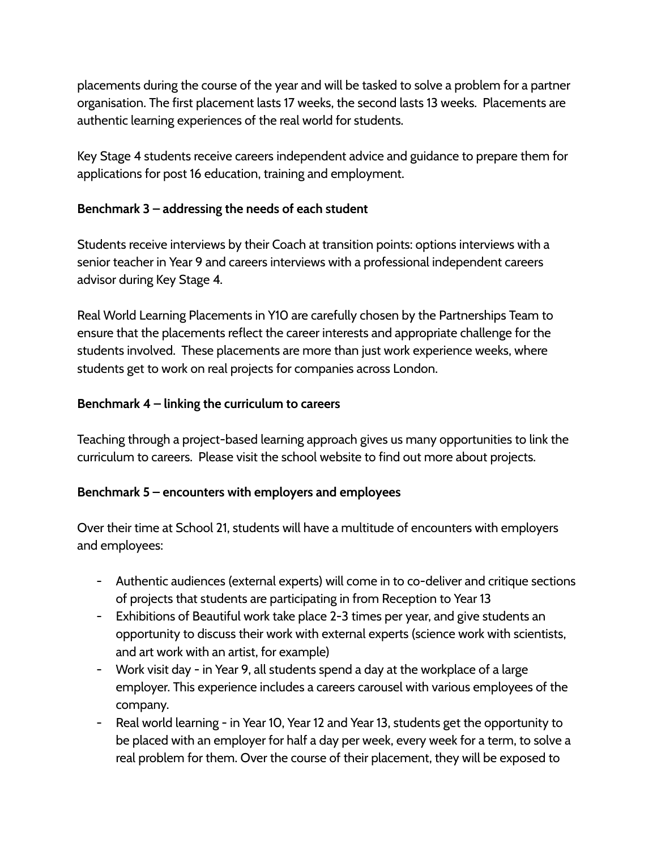placements during the course of the year and will be tasked to solve a problem for a partner organisation. The first placement lasts 17 weeks, the second lasts 13 weeks. Placements are authentic learning experiences of the real world for students.

Key Stage 4 students receive careers independent advice and guidance to prepare them for applications for post 16 education, training and employment.

## **Benchmark 3 – addressing the needs of each student**

Students receive interviews by their Coach at transition points: options interviews with a senior teacher in Year 9 and careers interviews with a professional independent careers advisor during Key Stage 4.

Real World Learning Placements in Y10 are carefully chosen by the Partnerships Team to ensure that the placements reflect the career interests and appropriate challenge for the students involved. These placements are more than just work experience weeks, where students get to work on real projects for companies across London.

## **Benchmark 4 – linking the curriculum to careers**

Teaching through a project-based learning approach gives us many opportunities to link the curriculum to careers. Please visit the school website to find out more about projects.

# **Benchmark 5 – encounters with employers and employees**

Over their time at School 21, students will have a multitude of encounters with employers and employees:

- Authentic audiences (external experts) will come in to co-deliver and critique sections of projects that students are participating in from Reception to Year 13
- Exhibitions of Beautiful work take place 2-3 times per year, and give students an opportunity to discuss their work with external experts (science work with scientists, and art work with an artist, for example)
- Work visit day in Year 9, all students spend a day at the workplace of a large employer. This experience includes a careers carousel with various employees of the company.
- Real world learning in Year 10, Year 12 and Year 13, students get the opportunity to be placed with an employer for half a day per week, every week for a term, to solve a real problem for them. Over the course of their placement, they will be exposed to